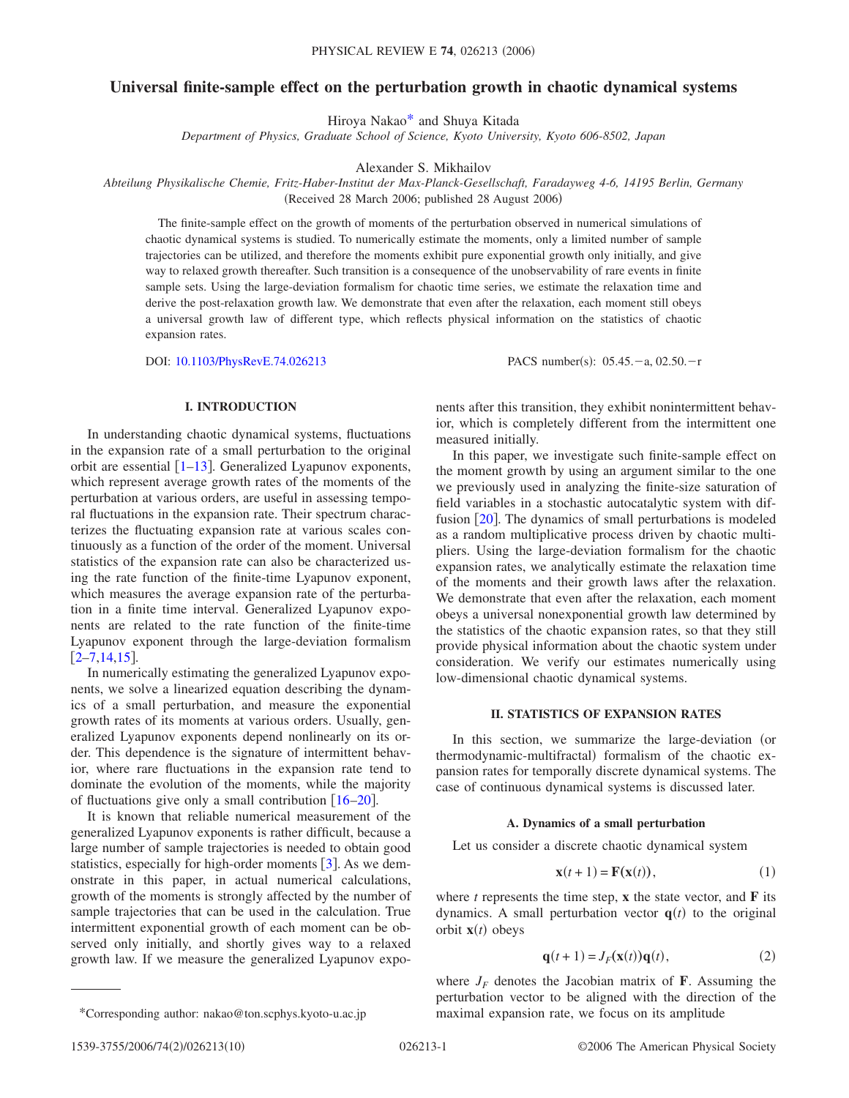# **Universal finite-sample effect on the perturbation growth in chaotic dynamical systems**

Hiroya Naka[o\\*](#page-0-0) and Shuya Kitada

*Department of Physics, Graduate School of Science, Kyoto University, Kyoto 606-8502, Japan*

Alexander S. Mikhailov

*Abteilung Physikalische Chemie, Fritz-Haber-Institut der Max-Planck-Gesellschaft, Faradayweg 4-6, 14195 Berlin, Germany* (Received 28 March 2006; published 28 August 2006)

The finite-sample effect on the growth of moments of the perturbation observed in numerical simulations of chaotic dynamical systems is studied. To numerically estimate the moments, only a limited number of sample trajectories can be utilized, and therefore the moments exhibit pure exponential growth only initially, and give way to relaxed growth thereafter. Such transition is a consequence of the unobservability of rare events in finite sample sets. Using the large-deviation formalism for chaotic time series, we estimate the relaxation time and derive the post-relaxation growth law. We demonstrate that even after the relaxation, each moment still obeys a universal growth law of different type, which reflects physical information on the statistics of chaotic expansion rates.

DOI: [10.1103/PhysRevE.74.026213](http://dx.doi.org/10.1103/PhysRevE.74.026213) PACS number(s): 05.45. -a, 02.50. -r

### **I. INTRODUCTION**

In understanding chaotic dynamical systems, fluctuations in the expansion rate of a small perturbation to the original orbit are essential  $\lceil 1-13 \rceil$  $\lceil 1-13 \rceil$  $\lceil 1-13 \rceil$ . Generalized Lyapunov exponents, which represent average growth rates of the moments of the perturbation at various orders, are useful in assessing temporal fluctuations in the expansion rate. Their spectrum characterizes the fluctuating expansion rate at various scales continuously as a function of the order of the moment. Universal statistics of the expansion rate can also be characterized using the rate function of the finite-time Lyapunov exponent, which measures the average expansion rate of the perturbation in a finite time interval. Generalized Lyapunov exponents are related to the rate function of the finite-time Lyapunov exponent through the large-deviation formalism  $[2-7,14,15]$  $[2-7,14,15]$  $[2-7,14,15]$  $[2-7,14,15]$  $[2-7,14,15]$  $[2-7,14,15]$ .

In numerically estimating the generalized Lyapunov exponents, we solve a linearized equation describing the dynamics of a small perturbation, and measure the exponential growth rates of its moments at various orders. Usually, generalized Lyapunov exponents depend nonlinearly on its order. This dependence is the signature of intermittent behavior, where rare fluctuations in the expansion rate tend to dominate the evolution of the moments, while the majority of fluctuations give only a small contribution  $[16–20]$  $[16–20]$  $[16–20]$  $[16–20]$ .

It is known that reliable numerical measurement of the generalized Lyapunov exponents is rather difficult, because a large number of sample trajectories is needed to obtain good statistics, especially for high-order moments  $[3]$  $[3]$  $[3]$ . As we demonstrate in this paper, in actual numerical calculations, growth of the moments is strongly affected by the number of sample trajectories that can be used in the calculation. True intermittent exponential growth of each moment can be observed only initially, and shortly gives way to a relaxed growth law. If we measure the generalized Lyapunov exponents after this transition, they exhibit nonintermittent behavior, which is completely different from the intermittent one measured initially.

In this paper, we investigate such finite-sample effect on the moment growth by using an argument similar to the one we previously used in analyzing the finite-size saturation of field variables in a stochastic autocatalytic system with diffusion  $\lceil 20 \rceil$  $\lceil 20 \rceil$  $\lceil 20 \rceil$ . The dynamics of small perturbations is modeled as a random multiplicative process driven by chaotic multipliers. Using the large-deviation formalism for the chaotic expansion rates, we analytically estimate the relaxation time of the moments and their growth laws after the relaxation. We demonstrate that even after the relaxation, each moment obeys a universal nonexponential growth law determined by the statistics of the chaotic expansion rates, so that they still provide physical information about the chaotic system under consideration. We verify our estimates numerically using low-dimensional chaotic dynamical systems.

# **II. STATISTICS OF EXPANSION RATES**

In this section, we summarize the large-deviation (or thermodynamic-multifractal) formalism of the chaotic expansion rates for temporally discrete dynamical systems. The case of continuous dynamical systems is discussed later.

# **A. Dynamics of a small perturbation**

Let us consider a discrete chaotic dynamical system

$$
\mathbf{x}(t+1) = \mathbf{F}(\mathbf{x}(t)),\tag{1}
$$

<span id="page-0-0"></span>where  $t$  represents the time step,  $\bf{x}$  the state vector, and  $\bf{F}$  its dynamics. A small perturbation vector  $q(t)$  to the original orbit  $\mathbf{x}(t)$  obeys

$$
\mathbf{q}(t+1) = J_F(\mathbf{x}(t))\mathbf{q}(t),\tag{2}
$$

where  $J_F$  denotes the Jacobian matrix of **F**. Assuming the perturbation vector to be aligned with the direction of the \*Corresponding author: nakao@ton.scphys.kyoto-u.ac.jp maximal expansion rate, we focus on its amplitude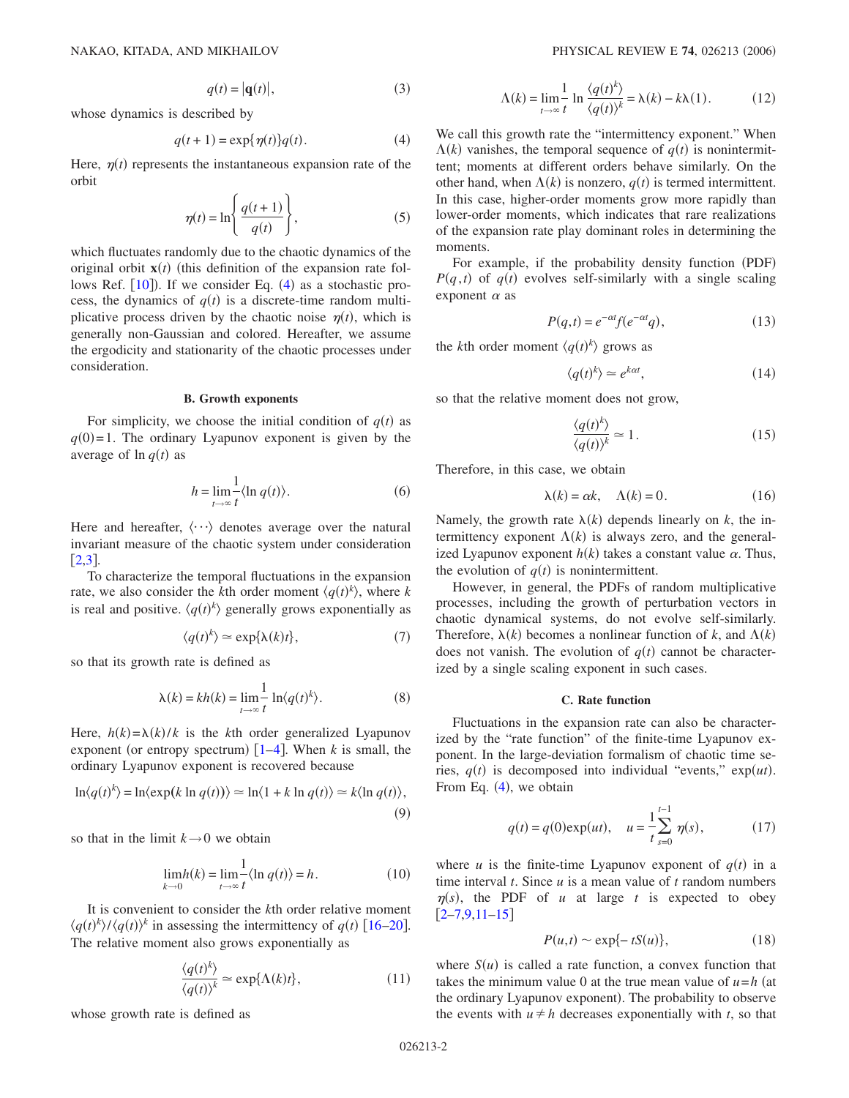$$
q(t) = |\mathbf{q}(t)|,\tag{3}
$$

<span id="page-1-0"></span>whose dynamics is described by

$$
q(t+1) = \exp{\{\eta(t)\}}q(t). \tag{4}
$$

<span id="page-1-1"></span>Here,  $\eta(t)$  represents the instantaneous expansion rate of the orbit

$$
\eta(t) = \ln\left\{\frac{q(t+1)}{q(t)}\right\},\tag{5}
$$

which fluctuates randomly due to the chaotic dynamics of the original orbit  $\mathbf{x}(t)$  (this definition of the expansion rate follows Ref.  $[10]$  $[10]$  $[10]$ . If we consider Eq.  $(4)$  $(4)$  $(4)$  as a stochastic process, the dynamics of  $q(t)$  is a discrete-time random multiplicative process driven by the chaotic noise  $\eta(t)$ , which is generally non-Gaussian and colored. Hereafter, we assume the ergodicity and stationarity of the chaotic processes under consideration.

### **B. Growth exponents**

For simplicity, we choose the initial condition of  $q(t)$  as  $q(0)=1$ . The ordinary Lyapunov exponent is given by the average of  $\ln q(t)$  as

$$
h = \lim_{t \to \infty} \frac{1}{t} \langle \ln q(t) \rangle.
$$
 (6)

Here and hereafter,  $\langle \cdots \rangle$  denotes average over the natural invariant measure of the chaotic system under consideration  $\lceil 2.3 \rceil$  $\lceil 2.3 \rceil$  $\lceil 2.3 \rceil$ .

To characterize the temporal fluctuations in the expansion rate, we also consider the *k*th order moment  $\langle q(t)^k \rangle$ , where *k* is real and positive.  $\langle q(t)^k \rangle$  generally grows exponentially as

$$
\langle q(t)^k \rangle \simeq \exp\{\lambda(k)t\},\tag{7}
$$

so that its growth rate is defined as

$$
\lambda(k) = kh(k) = \lim_{t \to \infty} \frac{1}{t} \ln \langle q(t)^k \rangle.
$$
 (8)

Here,  $h(k) = \lambda(k)/k$  is the *k*th order generalized Lyapunov exponent (or entropy spectrum)  $\lceil 1-4 \rceil$  $\lceil 1-4 \rceil$  $\lceil 1-4 \rceil$ . When *k* is small, the ordinary Lyapunov exponent is recovered because

$$
\ln\langle q(t)^k\rangle = \ln\langle \exp(k\ln q(t))\rangle \simeq \ln\langle 1 + k\ln q(t)\rangle \simeq k\langle \ln q(t)\rangle,
$$
\n(9)

so that in the limit  $k \rightarrow 0$  we obtain

$$
\lim_{k \to 0} h(k) = \lim_{t \to \infty} \frac{1}{t} \langle \ln q(t) \rangle = h.
$$
 (10)

It is convenient to consider the *k*th order relative moment  $\langle q(t)^k \rangle / \langle q(t) \rangle^k$  in assessing the intermittency of  $q(t)$  [[16](#page-9-3)[–20](#page-9-4)]. The relative moment also grows exponentially as

$$
\frac{\langle q(t)^k \rangle}{\langle q(t) \rangle^k} \simeq \exp\{\Lambda(k)t\},\tag{11}
$$

whose growth rate is defined as

$$
\Lambda(k) = \lim_{t \to \infty} \frac{1}{t} \ln \frac{\langle q(t)^k \rangle}{\langle q(t) \rangle^k} = \lambda(k) - k\lambda(1). \tag{12}
$$

We call this growth rate the "intermittency exponent." When  $\Lambda(k)$  vanishes, the temporal sequence of  $q(t)$  is nonintermittent; moments at different orders behave similarly. On the other hand, when  $\Lambda(k)$  is nonzero,  $q(t)$  is termed intermittent. In this case, higher-order moments grow more rapidly than lower-order moments, which indicates that rare realizations of the expansion rate play dominant roles in determining the moments.

For example, if the probability density function (PDF)  $P(q,t)$  of  $q(t)$  evolves self-similarly with a single scaling exponent  $\alpha$  as

$$
P(q,t) = e^{-\alpha t} f(e^{-\alpha t}q),\tag{13}
$$

the *k*th order moment  $\langle q(t)^k \rangle$  grows as

$$
\langle q(t)^k \rangle \simeq e^{k\alpha t},\tag{14}
$$

so that the relative moment does not grow,

$$
\frac{\langle q(t)^k \rangle}{\langle q(t) \rangle^k} \simeq 1. \tag{15}
$$

Therefore, in this case, we obtain

$$
\lambda(k) = \alpha k, \quad \Lambda(k) = 0. \tag{16}
$$

Namely, the growth rate  $\lambda(k)$  depends linearly on *k*, the intermittency exponent  $\Lambda(k)$  is always zero, and the generalized Lyapunov exponent  $h(k)$  takes a constant value  $\alpha$ . Thus, the evolution of  $q(t)$  is nonintermittent.

However, in general, the PDFs of random multiplicative processes, including the growth of perturbation vectors in chaotic dynamical systems, do not evolve self-similarly. Therefore,  $\lambda(k)$  becomes a nonlinear function of *k*, and  $\Lambda(k)$ does not vanish. The evolution of  $q(t)$  cannot be characterized by a single scaling exponent in such cases.

### **C. Rate function**

Fluctuations in the expansion rate can also be characterized by the "rate function" of the finite-time Lyapunov exponent. In the large-deviation formalism of chaotic time series,  $q(t)$  is decomposed into individual "events,"  $exp(ut)$ . From Eq.  $(4)$  $(4)$  $(4)$ , we obtain

$$
q(t) = q(0) \exp(ut), \quad u = \frac{1}{t} \sum_{s=0}^{t-1} \eta(s), \tag{17}
$$

<span id="page-1-2"></span>where *u* is the finite-time Lyapunov exponent of  $q(t)$  in a time interval *t*. Since *u* is a mean value of *t* random numbers  $\eta(s)$ , the PDF of *u* at large *t* is expected to obey  $[2-7,9,11-15]$  $[2-7,9,11-15]$  $[2-7,9,11-15]$  $[2-7,9,11-15]$  $[2-7,9,11-15]$ 

$$
P(u,t) \sim \exp\{-tS(u)\},\tag{18}
$$

where  $S(u)$  is called a rate function, a convex function that takes the minimum value 0 at the true mean value of  $u = h$  (at the ordinary Lyapunov exponent). The probability to observe the events with  $u \neq h$  decreases exponentially with *t*, so that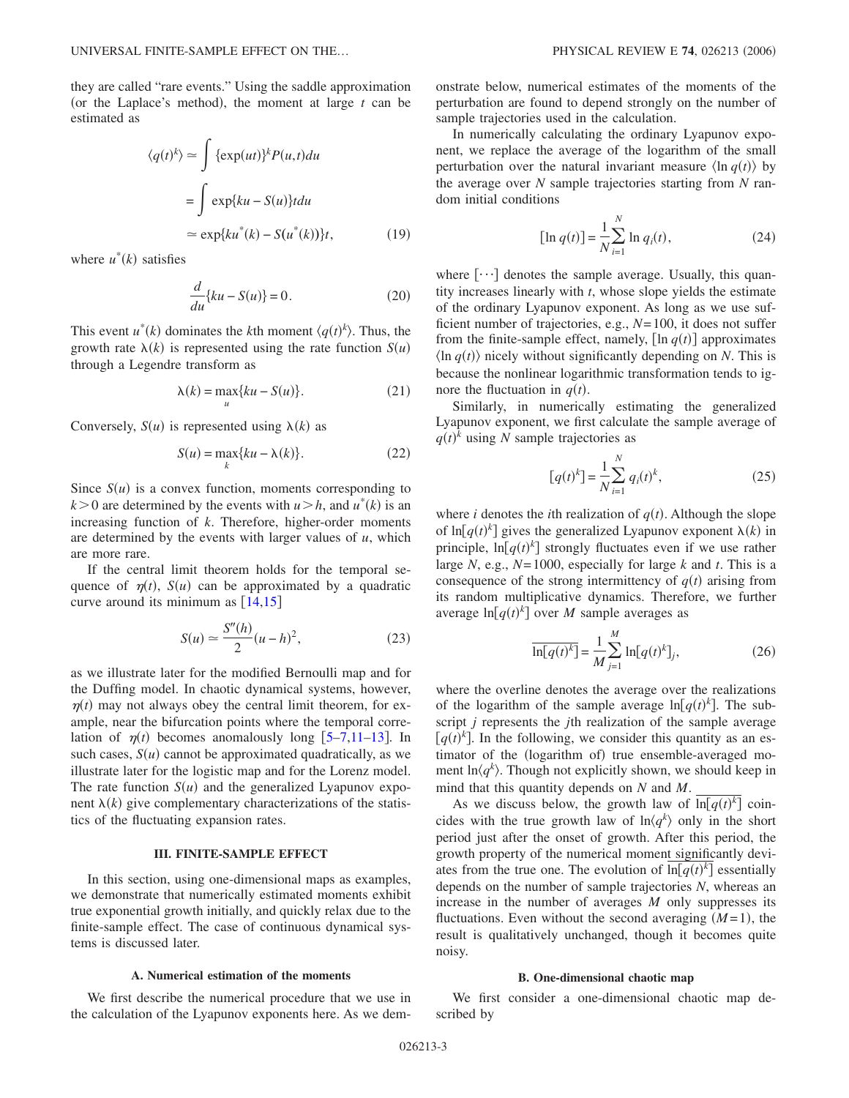<span id="page-2-3"></span>they are called "rare events." Using the saddle approximation (or the Laplace's method), the moment at large  $t$  can be estimated as

$$
\langle q(t)^k \rangle \simeq \int {\exp(ut)}^k P(u,t) du
$$
  
= 
$$
\int \exp\{ku - S(u)\} t du
$$
  

$$
\simeq \exp\{ku^*(k) - S(u^*(k))\}t,
$$
 (19)

<span id="page-2-1"></span>where  $u^*(k)$  satisfies

$$
\frac{d}{du}\{ku - S(u)\} = 0.
$$
\n(20)

This event  $u^*(k)$  dominates the *k*th moment  $\langle q(t)^k \rangle$ . Thus, the growth rate  $\lambda(k)$  is represented using the rate function  $S(u)$ through a Legendre transform as

$$
\lambda(k) = \max_{u} \{ku - S(u)\}.
$$
 (21)

<span id="page-2-0"></span>Conversely,  $S(u)$  is represented using  $\lambda(k)$  as

$$
S(u) = \max_{k} \{ku - \lambda(k)\}.
$$
 (22)

Since  $S(u)$  is a convex function, moments corresponding to  $k > 0$  are determined by the events with  $u > h$ , and  $u^*(k)$  is an increasing function of *k*. Therefore, higher-order moments are determined by the events with larger values of *u*, which are more rare.

If the central limit theorem holds for the temporal sequence of  $\eta(t)$ ,  $S(u)$  can be approximated by a quadratic curve around its minimum as  $[14,15]$  $[14,15]$  $[14,15]$  $[14,15]$ 

$$
S(u) \simeq \frac{S''(h)}{2}(u-h)^2,
$$
\n(23)

<span id="page-2-2"></span>as we illustrate later for the modified Bernoulli map and for the Duffing model. In chaotic dynamical systems, however,  $\eta(t)$  may not always obey the central limit theorem, for example, near the bifurcation points where the temporal correlation of  $\eta(t)$  becomes anomalously long  $[5-7,11-13]$  $[5-7,11-13]$  $[5-7,11-13]$  $[5-7,11-13]$  $[5-7,11-13]$ . In such cases,  $S(u)$  cannot be approximated quadratically, as we illustrate later for the logistic map and for the Lorenz model. The rate function  $S(u)$  and the generalized Lyapunov exponent  $\lambda(k)$  give complementary characterizations of the statistics of the fluctuating expansion rates.

# **III. FINITE-SAMPLE EFFECT**

In this section, using one-dimensional maps as examples, we demonstrate that numerically estimated moments exhibit true exponential growth initially, and quickly relax due to the finite-sample effect. The case of continuous dynamical systems is discussed later.

### **A. Numerical estimation of the moments**

We first describe the numerical procedure that we use in the calculation of the Lyapunov exponents here. As we demonstrate below, numerical estimates of the moments of the perturbation are found to depend strongly on the number of sample trajectories used in the calculation.

In numerically calculating the ordinary Lyapunov exponent, we replace the average of the logarithm of the small perturbation over the natural invariant measure  $\langle \ln q(t) \rangle$  by the average over *N* sample trajectories starting from *N* random initial conditions

$$
[\ln q(t)] = \frac{1}{N} \sum_{i=1}^{N} \ln q_i(t),
$$
 (24)

where  $[\cdots]$  denotes the sample average. Usually, this quantity increases linearly with *t*, whose slope yields the estimate of the ordinary Lyapunov exponent. As long as we use sufficient number of trajectories, e.g., *N*=100, it does not suffer from the finite-sample effect, namely,  $[\ln q(t)]$  approximates  $\langle \ln q(t) \rangle$  nicely without significantly depending on *N*. This is because the nonlinear logarithmic transformation tends to ignore the fluctuation in  $q(t)$ .

Similarly, in numerically estimating the generalized Lyapunov exponent, we first calculate the sample average of  $q(t)^k$  using *N* sample trajectories as

$$
[q(t)^k] = \frac{1}{N} \sum_{i=1}^{N} q_i(t)^k,
$$
 (25)

where *i* denotes the *i*th realization of  $q(t)$ . Although the slope of  $\ln[q(t)^k]$  gives the generalized Lyapunov exponent  $\lambda(k)$  in principle,  $\ln[q(t)^k]$  strongly fluctuates even if we use rather large *N*, e.g.,  $N=1000$ , especially for large *k* and *t*. This is a consequence of the strong intermittency of  $q(t)$  arising from its random multiplicative dynamics. Therefore, we further average  $\ln[q(t)^k]$  over *M* sample averages as

$$
\overline{\ln[q(t)^k]} = \frac{1}{M} \sum_{j=1}^{M} \ln[q(t)^k]_j,
$$
\n(26)

where the overline denotes the average over the realizations of the logarithm of the sample average  $\ln[q(t)^k]$ . The subscript *j* represents the *j*th realization of the sample average  $[q(t)]$ <sup>k</sup>]. In the following, we consider this quantity as an estimator of the (logarithm of) true ensemble-averaged moment  $\ln\langle q^k \rangle$ . Though not explicitly shown, we should keep in mind that this quantity depends on *N* and *M*.

As we discuss below, the growth law of  $\overline{\ln[q(t)]^k}$  coincides with the true growth law of  $\ln\langle q^k \rangle$  only in the short period just after the onset of growth. After this period, the growth property of the numerical moment significantly deviates from the true one. The evolution of  $\overline{\ln[q(t)]^k}$  essentially depends on the number of sample trajectories *N*, whereas an increase in the number of averages *M* only suppresses its fluctuations. Even without the second averaging  $(M=1)$ , the result is qualitatively unchanged, though it becomes quite noisy.

### **B. One-dimensional chaotic map**

We first consider a one-dimensional chaotic map described by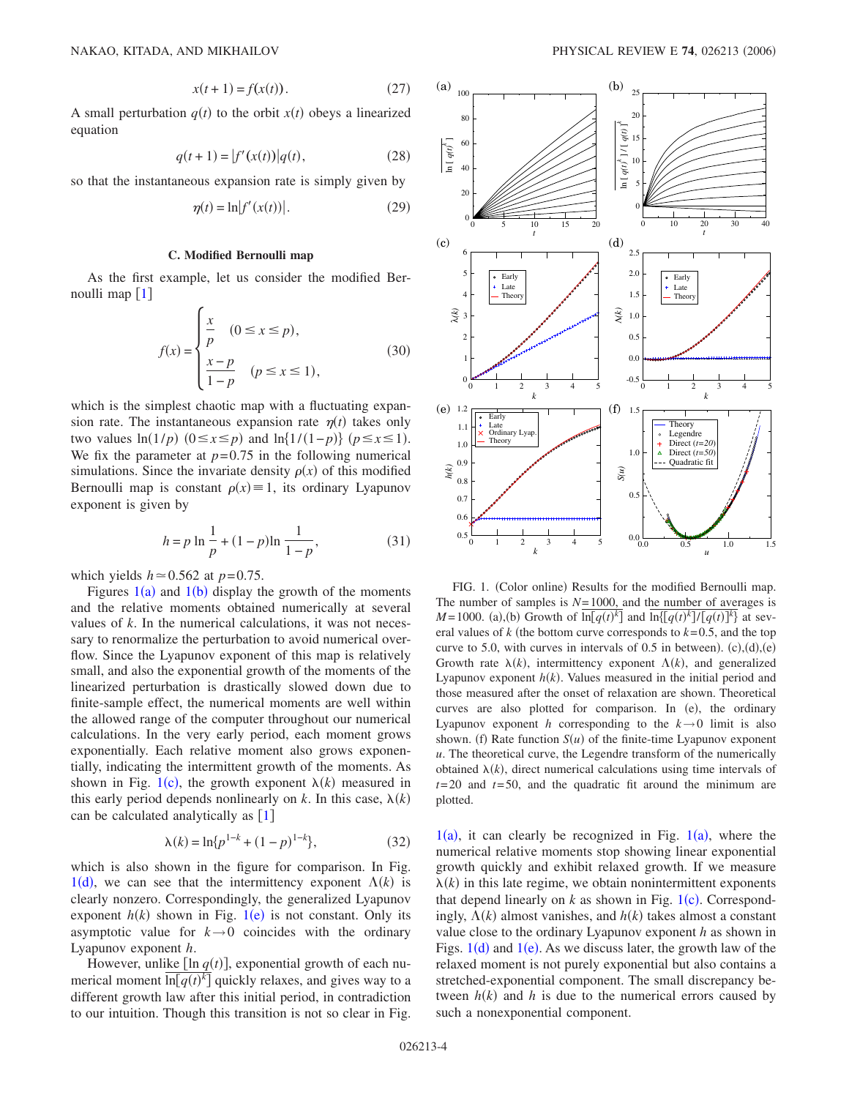$$
x(t+1) = f(x(t)).
$$
 (27)

A small perturbation  $q(t)$  to the orbit  $x(t)$  obeys a linearized equation

$$
q(t+1) = |f'(x(t))|q(t),
$$
\n(28)

so that the instantaneous expansion rate is simply given by

$$
\eta(t) = \ln |f'(x(t))|.
$$
\n(29)

#### **C. Modified Bernoulli map**

As the first example, let us consider the modified Bernoulli map  $[1]$  $[1]$  $[1]$ 

$$
f(x) = \begin{cases} \frac{x}{p} & (0 \le x \le p), \\ \frac{x-p}{1-p} & (p \le x \le 1), \end{cases}
$$
 (30)

which is the simplest chaotic map with a fluctuating expansion rate. The instantaneous expansion rate  $\eta(t)$  takes only two values  $ln(1/p)$  ( $0 \le x \le p$ ) and  $ln(1/(1-p))$  ( $p \le x \le 1$ ). We fix the parameter at  $p=0.75$  in the following numerical simulations. Since the invariate density  $\rho(x)$  of this modified Bernoulli map is constant  $\rho(x) \equiv 1$ , its ordinary Lyapunov exponent is given by

$$
h = p \ln \frac{1}{p} + (1 - p) \ln \frac{1}{1 - p},
$$
\n(31)

which yields  $h \approx 0.562$  at  $p=0.75$ .

Figures  $1(a)$  $1(a)$  and  $1(b)$  display the growth of the moments and the relative moments obtained numerically at several values of *k*. In the numerical calculations, it was not necessary to renormalize the perturbation to avoid numerical overflow. Since the Lyapunov exponent of this map is relatively small, and also the exponential growth of the moments of the linearized perturbation is drastically slowed down due to finite-sample effect, the numerical moments are well within the allowed range of the computer throughout our numerical calculations. In the very early period, each moment grows exponentially. Each relative moment also grows exponentially, indicating the intermittent growth of the moments. As shown in Fig. [1](#page-3-0)(c), the growth exponent  $\lambda(k)$  measured in this early period depends nonlinearly on *k*. In this case,  $\lambda(k)$ can be calculated analytically as  $[1]$  $[1]$  $[1]$ 

$$
\lambda(k) = \ln\{p^{1-k} + (1-p)^{1-k}\},\tag{32}
$$

which is also shown in the figure for comparison. In Fig. 1([d](#page-3-0)), we can see that the intermittency exponent  $\Lambda(k)$  is clearly nonzero. Correspondingly, the generalized Lyapunov exponent  $h(k)$  shown in Fig. [1](#page-3-0)(e) is not constant. Only its asymptotic value for  $k \rightarrow 0$  coincides with the ordinary Lyapunov exponent *h*.

However, unlike  $\lceil \ln q(t) \rceil$ , exponential growth of each numerical moment  $\overline{\ln[q(t)^k]}$  quickly relaxes, and gives way to a different growth law after this initial period, in contradiction to our intuition. Though this transition is not so clear in Fig.

<span id="page-3-0"></span>

FIG. 1. (Color online) Results for the modified Bernoulli map. The number of samples is  $N=1000$ , and the number of averages is *M* = 1000. (a),(b) Growth of  $\overline{\ln[q(t)^k]}$  and  $\overline{\ln[q(t)^k]/[q(t)]^k}$  at several values of  $k$  (the bottom curve corresponds to  $k=0.5$ , and the top curve to 5.0, with curves in intervals of 0.5 in between).  $(c)$ ,  $(d)$ ,  $(e)$ Growth rate  $\lambda(k)$ , intermittency exponent  $\Lambda(k)$ , and generalized Lyapunov exponent  $h(k)$ . Values measured in the initial period and those measured after the onset of relaxation are shown. Theoretical curves are also plotted for comparison. In (e), the ordinary Lyapunov exponent *h* corresponding to the  $k \rightarrow 0$  limit is also shown. (f) Rate function  $S(u)$  of the finite-time Lyapunov exponent *u*. The theoretical curve, the Legendre transform of the numerically obtained  $\lambda(k)$ , direct numerical calculations using time intervals of *t*=20 and *t*=50, and the quadratic fit around the minimum are plotted.

 $1(a)$  $1(a)$ , it can clearly be recognized in Fig.  $1(a)$ , where the numerical relative moments stop showing linear exponential growth quickly and exhibit relaxed growth. If we measure  $\lambda(k)$  in this late regime, we obtain nonintermittent exponents that depend linearly on  $k$  as shown in Fig.  $1(c)$  $1(c)$ . Correspondingly,  $\Lambda(k)$  almost vanishes, and  $h(k)$  takes almost a constant value close to the ordinary Lyapunov exponent *h* as shown in Figs.  $1(d)$  $1(d)$  and  $1(e)$ . As we discuss later, the growth law of the relaxed moment is not purely exponential but also contains a stretched-exponential component. The small discrepancy between  $h(k)$  and  $h$  is due to the numerical errors caused by such a nonexponential component.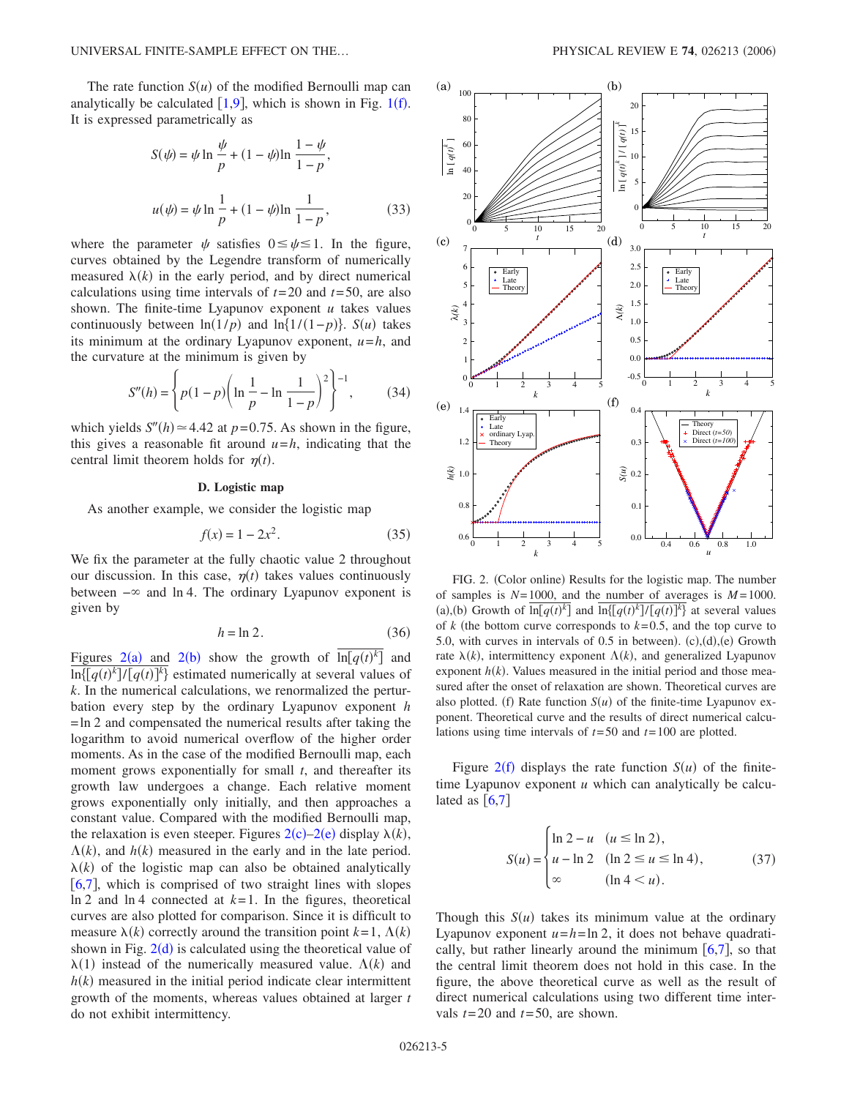The rate function  $S(u)$  of the modified Bernoulli map can analytically be calculated  $[1,9]$  $[1,9]$  $[1,9]$  $[1,9]$ , which is shown in Fig. [1](#page-3-0)(f). It is expressed parametrically as

$$
S(\psi) = \psi \ln \frac{\psi}{p} + (1 - \psi) \ln \frac{1 - \psi}{1 - p},
$$
  

$$
u(\psi) = \psi \ln \frac{1}{p} + (1 - \psi) \ln \frac{1}{1 - p},
$$
 (33)

where the parameter  $\psi$  satisfies  $0 \leq \psi \leq 1$ . In the figure, curves obtained by the Legendre transform of numerically measured  $\lambda(k)$  in the early period, and by direct numerical calculations using time intervals of *t*=20 and *t*=50, are also shown. The finite-time Lyapunov exponent *u* takes values continuously between  $\ln(1/p)$  and  $\ln\{1/(1-p)\}$ . *S*(*u*) takes its minimum at the ordinary Lyapunov exponent, *u*=*h*, and the curvature at the minimum is given by

$$
S''(h) = \left\{ p(1-p) \left( \ln \frac{1}{p} - \ln \frac{1}{1-p} \right)^2 \right\}^{-1},\tag{34}
$$

which yields  $S''(h) \approx 4.42$  at  $p=0.75$ . As shown in the figure, this gives a reasonable fit around  $u=h$ , indicating that the central limit theorem holds for  $\eta(t)$ .

# **D. Logistic map**

As another example, we consider the logistic map

$$
f(x) = 1 - 2x^2.
$$
 (35)

We fix the parameter at the fully chaotic value 2 throughout our discussion. In this case,  $\eta(t)$  takes values continuously between  $-\infty$  and ln 4. The ordinary Lyapunov exponent is given by

$$
h = \ln 2. \tag{36}
$$

Figures [2](#page-4-0)(a) and 2(b) show the growth of  $\overline{\ln[q(t)]^k}$  and  $\ln\{[q(t)^k]/[q(t)]^k\}$  estimated numerically at several values of *k*. In the numerical calculations, we renormalized the perturbation every step by the ordinary Lyapunov exponent *h*  $=$ ln 2 and compensated the numerical results after taking the logarithm to avoid numerical overflow of the higher order moments. As in the case of the modified Bernoulli map, each moment grows exponentially for small *t*, and thereafter its growth law undergoes a change. Each relative moment grows exponentially only initially, and then approaches a constant value. Compared with the modified Bernoulli map, the relaxation is even steeper. Figures  $2(c)$  $2(c)$ [–2](#page-4-0)(e) display  $\lambda(k)$ ,  $\Lambda(k)$ , and  $h(k)$  measured in the early and in the late period.  $\lambda(k)$  of the logistic map can also be obtained analytically  $[6,7]$  $[6,7]$  $[6,7]$  $[6,7]$ , which is comprised of two straight lines with slopes ln 2 and  $\ln 4$  connected at  $k=1$ . In the figures, theoretical curves are also plotted for comparison. Since it is difficult to measure  $\lambda(k)$  correctly around the transition point  $k=1, \Lambda(k)$ shown in Fig.  $2(d)$  $2(d)$  is calculated using the theoretical value of  $\lambda(1)$  instead of the numerically measured value.  $\Lambda(k)$  and  $h(k)$  measured in the initial period indicate clear intermittent growth of the moments, whereas values obtained at larger *t* do not exhibit intermittency.

<span id="page-4-0"></span>

FIG. 2. (Color online) Results for the logistic map. The number of samples is  $N=1000$ , and the number of averages is  $M=1000$ . (a),(b) Growth of  $\overline{\ln[q(t)]^k}$  and  $\overline{\ln[q(t)]^k}$  at several values of  $k$  (the bottom curve corresponds to  $k=0.5$ , and the top curve to 5.0, with curves in intervals of  $0.5$  in between).  $(c)$ , $(d)$ , $(e)$  Growth rate  $\lambda(k)$ , intermittency exponent  $\Lambda(k)$ , and generalized Lyapunov exponent  $h(k)$ . Values measured in the initial period and those measured after the onset of relaxation are shown. Theoretical curves are also plotted. (f) Rate function  $S(u)$  of the finite-time Lyapunov exponent. Theoretical curve and the results of direct numerical calculations using time intervals of *t*=50 and *t*=100 are plotted.

Figure  $2(f)$  $2(f)$  displays the rate function  $S(u)$  of the finitetime Lyapunov exponent *u* which can analytically be calculated as  $[6,7]$  $[6,7]$  $[6,7]$  $[6,7]$ 

$$
S(u) = \begin{cases} \ln 2 - u & (u \le \ln 2), \\ u - \ln 2 & (\ln 2 \le u \le \ln 4), \\ \infty & (\ln 4 < u). \end{cases}
$$
(37)

Though this  $S(u)$  takes its minimum value at the ordinary Lyapunov exponent  $u = h = \ln 2$ , it does not behave quadratically, but rather linearly around the minimum  $[6,7]$  $[6,7]$  $[6,7]$  $[6,7]$ , so that the central limit theorem does not hold in this case. In the figure, the above theoretical curve as well as the result of direct numerical calculations using two different time intervals  $t=20$  and  $t=50$ , are shown.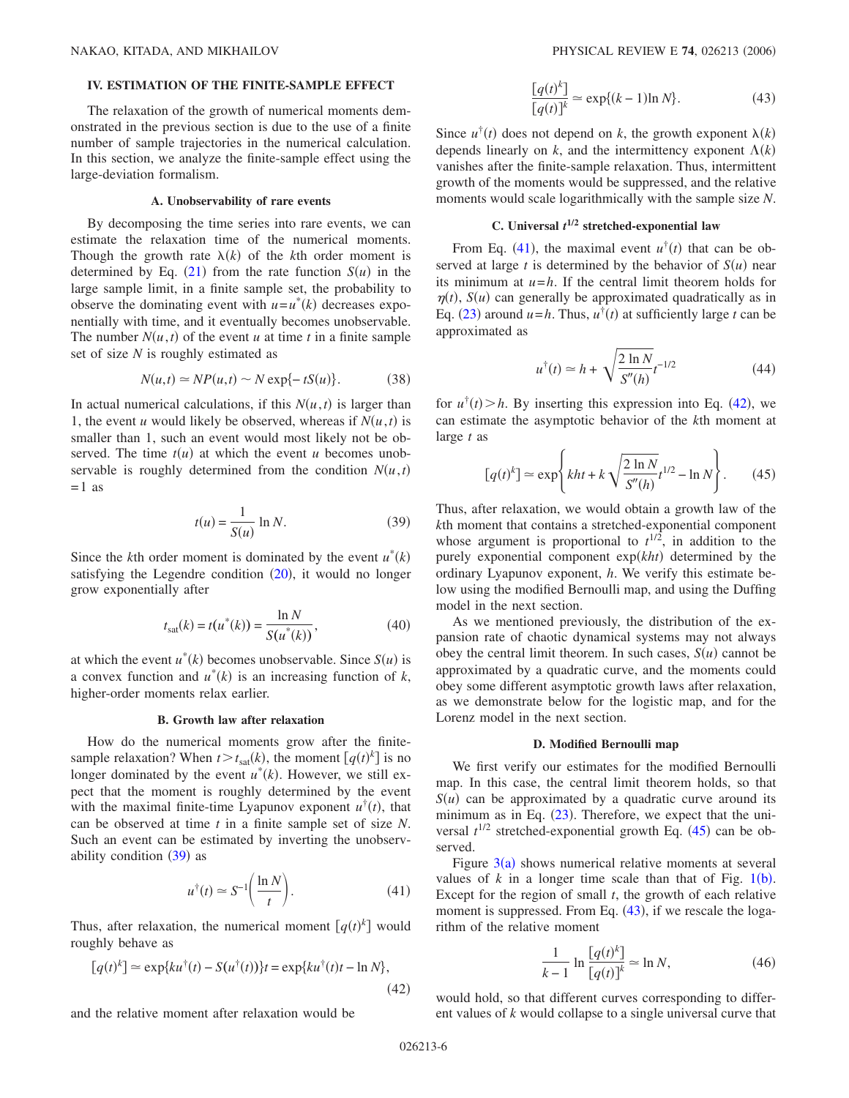## **IV. ESTIMATION OF THE FINITE-SAMPLE EFFECT**

The relaxation of the growth of numerical moments demonstrated in the previous section is due to the use of a finite number of sample trajectories in the numerical calculation. In this section, we analyze the finite-sample effect using the large-deviation formalism.

### **A. Unobservability of rare events**

By decomposing the time series into rare events, we can estimate the relaxation time of the numerical moments. Though the growth rate  $\lambda(k)$  of the *k*th order moment is determined by Eq.  $(21)$  $(21)$  $(21)$  from the rate function  $S(u)$  in the large sample limit, in a finite sample set, the probability to observe the dominating event with  $u = u^*(k)$  decreases exponentially with time, and it eventually becomes unobservable. The number  $N(u,t)$  of the event *u* at time *t* in a finite sample set of size *N* is roughly estimated as

$$
N(u,t) \simeq NP(u,t) \sim N \exp\{-tS(u)\}.
$$
 (38)

In actual numerical calculations, if this  $N(u, t)$  is larger than 1, the event *u* would likely be observed, whereas if  $N(u, t)$  is smaller than 1, such an event would most likely not be observed. The time  $t(u)$  at which the event *u* becomes unobservable is roughly determined from the condition  $N(u,t)$  $=1$  as

$$
t(u) = \frac{1}{S(u)} \ln N. \tag{39}
$$

<span id="page-5-0"></span>Since the *k*th order moment is dominated by the event  $u^*(k)$ satisfying the Legendre condition  $(20)$  $(20)$  $(20)$ , it would no longer grow exponentially after

$$
t_{\text{sat}}(k) = t(u^*(k)) = \frac{\ln N}{S(u^*(k))},\tag{40}
$$

at which the event  $u^*(k)$  becomes unobservable. Since  $S(u)$  is a convex function and  $u^*(k)$  is an increasing function of  $k$ , higher-order moments relax earlier.

### **B. Growth law after relaxation**

How do the numerical moments grow after the finitesample relaxation? When  $t > t_{\text{sat}}(k)$ , the moment  $[q(t)^k]$  is no longer dominated by the event  $u^*(k)$ . However, we still expect that the moment is roughly determined by the event with the maximal finite-time Lyapunov exponent  $u^{\dagger}(t)$ , that can be observed at time *t* in a finite sample set of size *N*. Such an event can be estimated by inverting the unobservability condition  $(39)$  $(39)$  $(39)$  as

$$
u^{\dagger}(t) \simeq S^{-1} \bigg( \frac{\ln N}{t} \bigg). \tag{41}
$$

<span id="page-5-1"></span>Thus, after relaxation, the numerical moment  $[q(t)^k]$  would roughly behave as

<span id="page-5-2"></span>
$$
[q(t)^k] \approx \exp\{ku^{\dagger}(t) - S(u^{\dagger}(t))\}t = \exp\{ku^{\dagger}(t)t - \ln N\},\tag{42}
$$

and the relative moment after relaxation would be

$$
\frac{\left[q(t)^k\right]}{\left[q(t)\right]^k} \simeq \exp\{(k-1)\ln N\}.
$$
 (43)

<span id="page-5-4"></span>Since  $u^{\dagger}(t)$  does not depend on *k*, the growth exponent  $\lambda(k)$ depends linearly on *k*, and the intermittency exponent  $\Lambda(k)$ vanishes after the finite-sample relaxation. Thus, intermittent growth of the moments would be suppressed, and the relative moments would scale logarithmically with the sample size *N*.

# **C. Universal** *t* **1/2 stretched-exponential law**

From Eq. ([41](#page-5-1)), the maximal event  $u^{\dagger}(t)$  that can be observed at large *t* is determined by the behavior of  $S(u)$  near its minimum at *u*=*h*. If the central limit theorem holds for  $\eta(t)$ ,  $S(u)$  can generally be approximated quadratically as in Eq. ([23](#page-2-2)) around  $u = h$ . Thus,  $u^{\dagger}(t)$  at sufficiently large *t* can be approximated as

$$
u^{\dagger}(t) \simeq h + \sqrt{\frac{2 \ln N}{S''(h)}} t^{-1/2}
$$
 (44)

for  $u^{\dagger}(t) > h$ . By inserting this expression into Eq. ([42](#page-5-2)), we can estimate the asymptotic behavior of the *k*th moment at large *t* as

$$
[q(t)^{k}] \simeq \exp\left\{kht + k\sqrt{\frac{2\ln N}{S''(h)}}t^{1/2} - \ln N\right\}.
$$
 (45)

<span id="page-5-3"></span>Thus, after relaxation, we would obtain a growth law of the *k*th moment that contains a stretched-exponential component whose argument is proportional to  $t^{1/2}$ , in addition to the purely exponential component exp(kht) determined by the ordinary Lyapunov exponent, *h*. We verify this estimate below using the modified Bernoulli map, and using the Duffing model in the next section.

As we mentioned previously, the distribution of the expansion rate of chaotic dynamical systems may not always obey the central limit theorem. In such cases,  $S(u)$  cannot be approximated by a quadratic curve, and the moments could obey some different asymptotic growth laws after relaxation, as we demonstrate below for the logistic map, and for the Lorenz model in the next section.

#### **D. Modified Bernoulli map**

We first verify our estimates for the modified Bernoulli map. In this case, the central limit theorem holds, so that  $S(u)$  can be approximated by a quadratic curve around its minimum as in Eq.  $(23)$  $(23)$  $(23)$ . Therefore, we expect that the universal  $t^{1/2}$  stretched-exponential growth Eq.  $(45)$  $(45)$  $(45)$  can be observed.

Figure  $3(a)$  shows numerical relative moments at several values of  $k$  in a longer time scale than that of Fig.  $1(b)$  $1(b)$ . Except for the region of small *t*, the growth of each relative moment is suppressed. From Eq.  $(43)$  $(43)$  $(43)$ , if we rescale the logarithm of the relative moment

$$
\frac{1}{k-1} \ln \frac{[q(t)^k]}{[q(t)]^k} \simeq \ln N,
$$
\n(46)

would hold, so that different curves corresponding to different values of *k* would collapse to a single universal curve that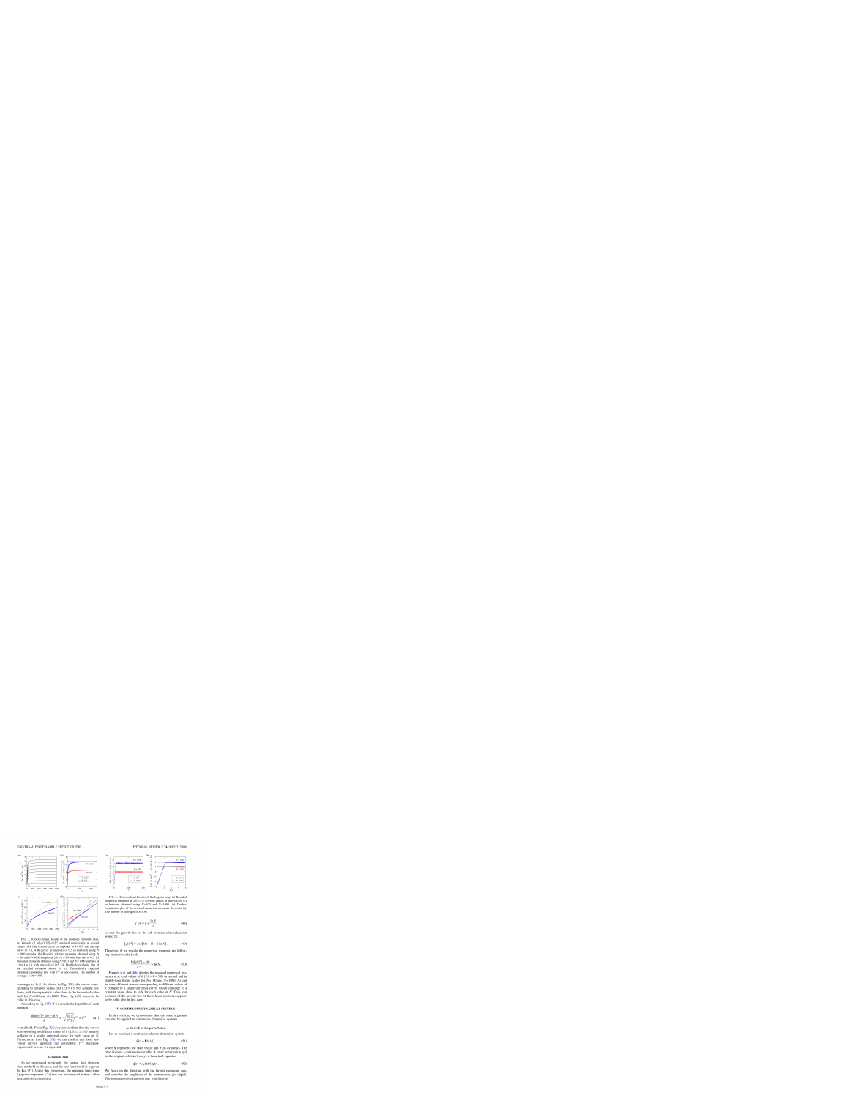

FIG. 3. (Color online) Results of the modified Bernoulli map. (a) Growth of  $\ln[q(t)^k]/\{[q(t)]\}^k$  obtained numerically at several values of k (the bottom curve corresponds to  $k=0.5$ , and the top curve to 5.0, with curves in intervals of 0.5 in between) using  $N$  $= 1000$  samples. (b) Rescaled relative moments obtained using N =100 and  $N$ =1000 samples at 2.0 ≤  $k$  ≤ 5.0 with intervals of 0.5. (c) Rescaled moments obtained using  $N=100$  and  $N=1000$  samples at  $2.0 \le k \le 5.0$  with intervals of 0.5. (d) Double-logarithmic plot of the rescaled moments shown in (c). Theoretically expected stretched-exponential law with  $t^{1/2}$  is also shown. The number of averages is  $M = 1000$ .

converges to  $\ln N$ . As shown in Fig. 3(b), the curves corresponding to different values of k (2.0  $\le k \le 5.0$ ) actually collapse, with the asymptotic value close to the theoretical value In N for  $N=100$  and  $N=1000$ . Thus, Eq. (43) seems to be valid in this case.

According to Eq.  $(45)$ , if we rescale the logarithm of each moment

$$
\frac{\ln[q(t)^k] - kht + \ln N}{k} \simeq \sqrt{\frac{\ln N}{S''(h)}} t^{1/2} \propto t^{1/2}
$$
 (47)

would hold. From Fig.  $3(c)$ , we can confirm that the curves corresponding to different values of k (2.0  $\le k \le 5.0$ ) actually collapse to a single universal curve for each value of  $N$ . Furthermore, from Fig.  $3(d)$ , we can confirm that these universal curves approach the asymptotic  $t^{1/2}$  stretchedexponential law, as we expected.

# E. Logistic map

As we mentioned previously, the central limit theorem does not hold in this case, and the rate function  $S(u)$  is given by Eq.  $(37)$ . Using this expression, the maximal finite-time Lyapunov exponent  $u^{\dagger}(t)$  that can be observed at time t after relaxation is estimated as



FIG. 4. (Color online) Results of the Logistic map. (a) Rescaled numerical moments at  $2.0 \le k \le 5.0$  with curves in intervals of 0.5 in between obtained using  $N=100$  and  $N=1000$ . (b) Doublelogarithmic plot of the rescaled numerical moments shown in (a). The number of averages is  $M = 50$ .

$$
u^{\dagger}(t) \simeq h + \frac{\ln N}{t}, \qquad (48)
$$

so that the growth law of the kth moment after relaxation would be

$$
[q(t)^k] \approx \exp[kht + (k-1)\ln N]. \tag{49}
$$

Therefore, if we rescale the numerical moment, the following relation would hold:

$$
\frac{\ln[q(t)^k] - kht}{k-1} \simeq \ln N.
$$
 (50)

Figures  $4(a)$  and  $4(b)$  display the rescaled numerical moments at several values of k  $(2.0 \le k \le 5.0)$  in normal and in double-logarithmic scales for  $N=100$  and  $N=1000$ . As can be seen, different curves corresponding to different values of  $k$  collapse to a single universal curve, which converge to a constant value close to  $\ln N$  for each value of N. Thus, our estimate of the growth law of the relaxed moments appears to be valid also in this case.

# V. CONTINUOUS DYNAMICAL SYSTEMS

In this section, we demonstrate that the same argument can also be applied to continuous dynamical systems.

#### A. Growth of the perturbation

Let us consider a continuous chaotic dynamical system

$$
\dot{\mathbf{x}}(t) = \mathbf{F}(\mathbf{x}(t)),\tag{51}
$$

where  $x$  represents the state vector and  $F$  its dynamics. The time t is now a continuous variable. A small perturbation  $q(t)$ to the original orbit  $\mathbf{x}(t)$  obeys a linearized equation

$$
\dot{\mathbf{q}}(t) = J_F(\mathbf{x}(t))\mathbf{q}(t). \tag{52}
$$

We focus on the direction with the largest expansion rate, and consider the amplitude of the perturbation  $q(t) = |q(t)|$ . The instantaneous expansion rate is defined as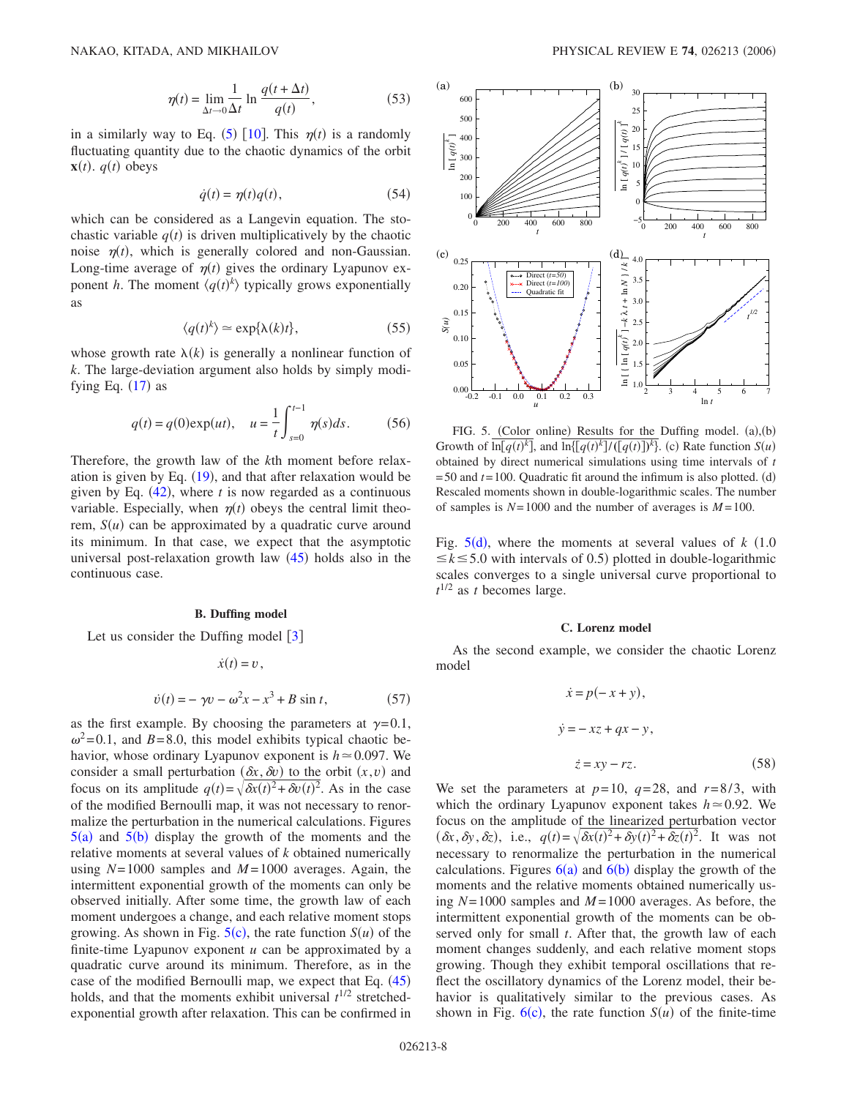$$
\eta(t) = \lim_{\Delta t \to 0} \frac{1}{\Delta t} \ln \frac{q(t + \Delta t)}{q(t)},
$$
\n(53)

in a similarly way to Eq.  $(5)$  $(5)$  $(5)$  [[10](#page-9-5)]. This  $\eta(t)$  is a randomly fluctuating quantity due to the chaotic dynamics of the orbit **x** $(t)$ .  $q(t)$  obeys

$$
\dot{q}(t) = \eta(t)q(t),\tag{54}
$$

which can be considered as a Langevin equation. The stochastic variable  $q(t)$  is driven multiplicatively by the chaotic noise  $\eta(t)$ , which is generally colored and non-Gaussian. Long-time average of  $\eta(t)$  gives the ordinary Lyapunov exponent *h*. The moment  $\langle q(t)^k \rangle$  typically grows exponentially as

$$
\langle q(t)^k \rangle \simeq \exp\{\lambda(k)t\},\tag{55}
$$

whose growth rate  $\lambda(k)$  is generally a nonlinear function of *k*. The large-deviation argument also holds by simply modifying Eq.  $(17)$  $(17)$  $(17)$  as

$$
q(t) = q(0) \exp(ut), \quad u = \frac{1}{t} \int_{s=0}^{t-1} \eta(s) ds.
$$
 (56)

Therefore, the growth law of the *k*th moment before relaxation is given by Eq.  $(19)$  $(19)$  $(19)$ , and that after relaxation would be given by Eq.  $(42)$  $(42)$  $(42)$ , where *t* is now regarded as a continuous variable. Especially, when  $\eta(t)$  obeys the central limit theorem,  $S(u)$  can be approximated by a quadratic curve around its minimum. In that case, we expect that the asymptotic universal post-relaxation growth law  $(45)$  $(45)$  $(45)$  holds also in the continuous case.

#### **B. Duffing model**

Let us consider the Duffing model  $|3|$  $|3|$  $|3|$ 

$$
\dot{x}(t) = v,
$$
  

$$
\dot{v}(t) = -\gamma v - \omega^2 x - x^3 + B \sin t,
$$
 (57)

as the first example. By choosing the parameters at  $\gamma=0.1$ ,  $\omega^2$ =0.1, and *B*=8.0, this model exhibits typical chaotic behavior, whose ordinary Lyapunov exponent is  $h \approx 0.097$ . We consider a small perturbation  $(\delta x, \delta v)$  to the orbit  $(x, v)$  and focus on its amplitude  $q(t) = \sqrt{\frac{\delta x(t)^2 + \delta v(t)^2}{2}}$ . As in the case of the modified Bernoulli map, it was not necessary to renormalize the perturbation in the numerical calculations. Figures  $5(a)$  $5(a)$  and  $5(b)$  display the growth of the moments and the relative moments at several values of *k* obtained numerically using *N*=1000 samples and *M* =1000 averages. Again, the intermittent exponential growth of the moments can only be observed initially. After some time, the growth law of each moment undergoes a change, and each relative moment stops growing. As shown in Fig.  $5(c)$  $5(c)$ , the rate function  $S(u)$  of the finite-time Lyapunov exponent *u* can be approximated by a quadratic curve around its minimum. Therefore, as in the case of the modified Bernoulli map, we expect that Eq.  $(45)$  $(45)$  $(45)$ holds, and that the moments exhibit universal  $t^{1/2}$  stretchedexponential growth after relaxation. This can be confirmed in

<span id="page-7-0"></span>

FIG. 5. (Color online) Results for the Duffing model.  $(a)$ ,  $(b)$ Growth of  $\overline{\ln[q(t)]^k}$ , and  $\overline{\ln\{(q(t))^k\}}$  (c) Rate function  $S(u)$ obtained by direct numerical simulations using time intervals of *t*  $=50$  and  $t=100$ . Quadratic fit around the infimum is also plotted. (d) Rescaled moments shown in double-logarithmic scales. The number of samples is  $N=1000$  and the number of averages is  $M=100$ .

Fig.  $5(d)$  $5(d)$ , where the moments at several values of *k* (1.0)  $\leq k \leq 5.0$  with intervals of 0.5) plotted in double-logarithmic scales converges to a single universal curve proportional to  $t^{1/2}$  as *t* becomes large.

#### **C. Lorenz model**

As the second example, we consider the chaotic Lorenz model

$$
\dot{x} = p(-x + y),
$$
  
\n
$$
\dot{y} = -xz + qx - y,
$$
  
\n
$$
\dot{z} = xy - rz.
$$
\n(58)

We set the parameters at  $p=10$ ,  $q=28$ , and  $r=8/3$ , with which the ordinary Lyapunov exponent takes  $h \approx 0.92$ . We focus on the amplitude of the linearized perturbation vector  $(\delta x, \delta y, \delta z)$ , i.e.,  $q(t) = \sqrt{\delta x(t)^2 + \delta y(t)^2 + \delta z(t)^2}$ . It was not necessary to renormalize the perturbation in the numerical calculations. Figures  $6(a)$  $6(a)$  and  $6(b)$  display the growth of the moments and the relative moments obtained numerically using  $N=1000$  samples and  $M=1000$  averages. As before, the intermittent exponential growth of the moments can be observed only for small *t*. After that, the growth law of each moment changes suddenly, and each relative moment stops growing. Though they exhibit temporal oscillations that reflect the oscillatory dynamics of the Lorenz model, their behavior is qualitatively similar to the previous cases. As shown in Fig.  $6(c)$  $6(c)$ , the rate function  $S(u)$  of the finite-time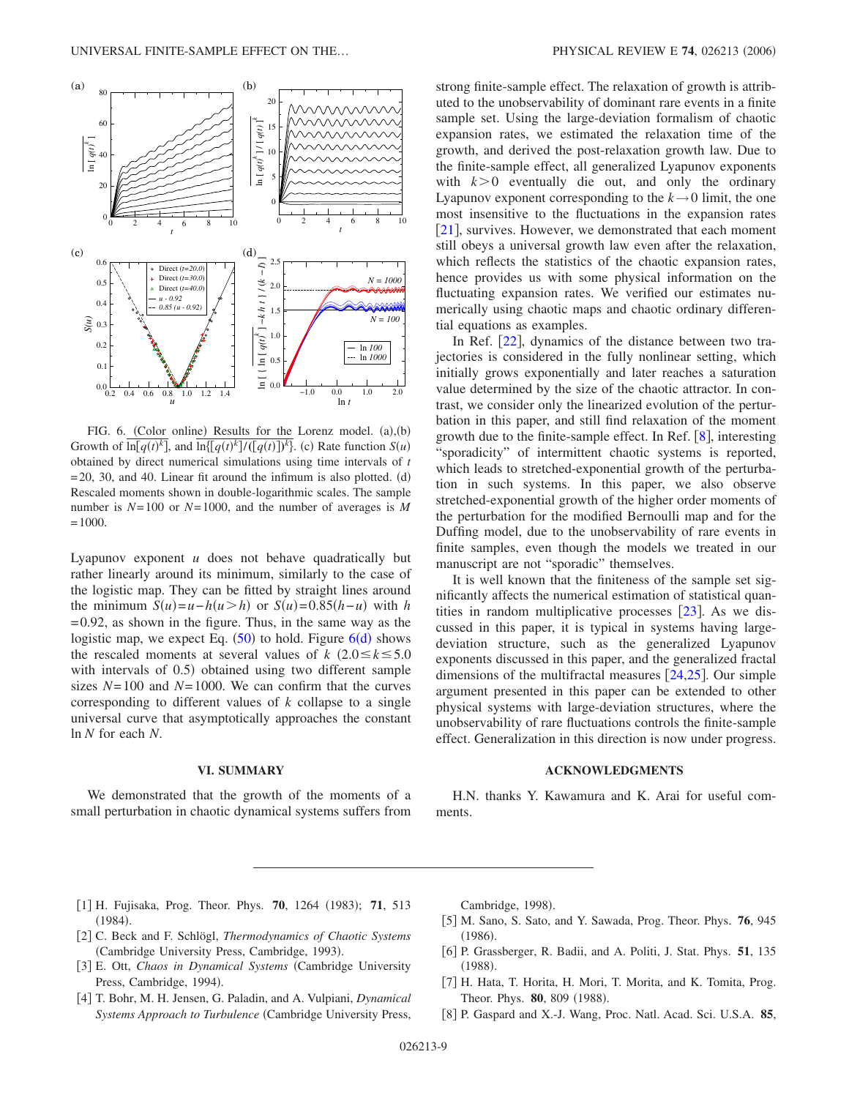<span id="page-8-7"></span>

FIG. 6. (Color online) Results for the Lorenz model.  $(a)$ ,  $(b)$ Growth of  $\overline{\ln[q(t)]^k}$ , and  $\overline{\ln\{(q(t))^k\}}$  (*z*(*t*)  $\overline{\}}^k$ ). (*c*) Rate function *S*(*u*) obtained by direct numerical simulations using time intervals of *t*  $=$  20, 30, and 40. Linear fit around the infimum is also plotted. (d) Rescaled moments shown in double-logarithmic scales. The sample number is *N*=100 or *N*=1000, and the number of averages is *M*  $=1000.$ 

Lyapunov exponent *u* does not behave quadratically but rather linearly around its minimum, similarly to the case of the logistic map. They can be fitted by straight lines around the minimum  $S(u) = u - h(u > h)$  or  $S(u) = 0.85(h - u)$  with *h*  $=0.92$ , as shown in the figure. Thus, in the same way as the logistic map, we expect Eq.  $(50)$  to hol[d](#page-8-7). Figure  $6(d)$  shows the rescaled moments at several values of *k*  $(2.0 \le k \le 5.0)$ with intervals of  $0.5$ ) obtained using two different sample sizes  $N=100$  and  $N=1000$ . We can confirm that the curves corresponding to different values of *k* collapse to a single universal curve that asymptotically approaches the constant ln *N* for each *N*.

#### **VI. SUMMARY**

We demonstrated that the growth of the moments of a small perturbation in chaotic dynamical systems suffers from strong finite-sample effect. The relaxation of growth is attributed to the unobservability of dominant rare events in a finite sample set. Using the large-deviation formalism of chaotic expansion rates, we estimated the relaxation time of the growth, and derived the post-relaxation growth law. Due to the finite-sample effect, all generalized Lyapunov exponents with  $k > 0$  eventually die out, and only the ordinary Lyapunov exponent corresponding to the  $k \rightarrow 0$  limit, the one most insensitive to the fluctuations in the expansion rates  $[21]$  $[21]$  $[21]$ , survives. However, we demonstrated that each moment still obeys a universal growth law even after the relaxation, which reflects the statistics of the chaotic expansion rates, hence provides us with some physical information on the fluctuating expansion rates. We verified our estimates numerically using chaotic maps and chaotic ordinary differential equations as examples.

In Ref.  $[22]$  $[22]$  $[22]$ , dynamics of the distance between two trajectories is considered in the fully nonlinear setting, which initially grows exponentially and later reaches a saturation value determined by the size of the chaotic attractor. In contrast, we consider only the linearized evolution of the perturbation in this paper, and still find relaxation of the moment growth due to the finite-sample effect. In Ref.  $[8]$  $[8]$  $[8]$ , interesting "sporadicity" of intermittent chaotic systems is reported, which leads to stretched-exponential growth of the perturbation in such systems. In this paper, we also observe stretched-exponential growth of the higher order moments of the perturbation for the modified Bernoulli map and for the Duffing model, due to the unobservability of rare events in finite samples, even though the models we treated in our manuscript are not "sporadic" themselves.

It is well known that the finiteness of the sample set significantly affects the numerical estimation of statistical quantities in random multiplicative processes  $[23]$  $[23]$  $[23]$ . As we discussed in this paper, it is typical in systems having largedeviation structure, such as the generalized Lyapunov exponents discussed in this paper, and the generalized fractal dimensions of the multifractal measures  $\left| \frac{24,25}{\right|}$  $\left| \frac{24,25}{\right|}$  $\left| \frac{24,25}{\right|}$  $\left| \frac{24,25}{\right|}$ . Our simple argument presented in this paper can be extended to other physical systems with large-deviation structures, where the unobservability of rare fluctuations controls the finite-sample effect. Generalization in this direction is now under progress.

#### **ACKNOWLEDGMENTS**

H.N. thanks Y. Kawamura and K. Arai for useful comments.

- <span id="page-8-0"></span>[1] H. Fujisaka, Prog. Theor. Phys. **70**, 1264 (1983); **71**, 513  $(1984).$
- <span id="page-8-1"></span>[2] C. Beck and F. Schlögl, *Thermodynamics of Chaotic Systems* (Cambridge University Press, Cambridge, 1993).
- <span id="page-8-3"></span>[3] E. Ott, *Chaos in Dynamical Systems* (Cambridge University Press, Cambridge, 1994).
- <span id="page-8-4"></span>#4\$ T. Bohr, M. H. Jensen, G. Paladin, and A. Vulpiani, *Dynamical* Systems Approach to Turbulence (Cambridge University Press,

Cambridge, 1998).

- <span id="page-8-5"></span>[5] M. Sano, S. Sato, and Y. Sawada, Prog. Theor. Phys. **76**, 945  $(1986).$
- <span id="page-8-6"></span>#6\$ P. Grassberger, R. Badii, and A. Politi, J. Stat. Phys. **51**, 135  $(1988).$
- <span id="page-8-2"></span>[7] H. Hata, T. Horita, H. Mori, T. Morita, and K. Tomita, Prog. Theor. Phys. **80**, 809 (1988).
- <span id="page-8-8"></span>#8\$ P. Gaspard and X.-J. Wang, Proc. Natl. Acad. Sci. U.S.A. **85**,